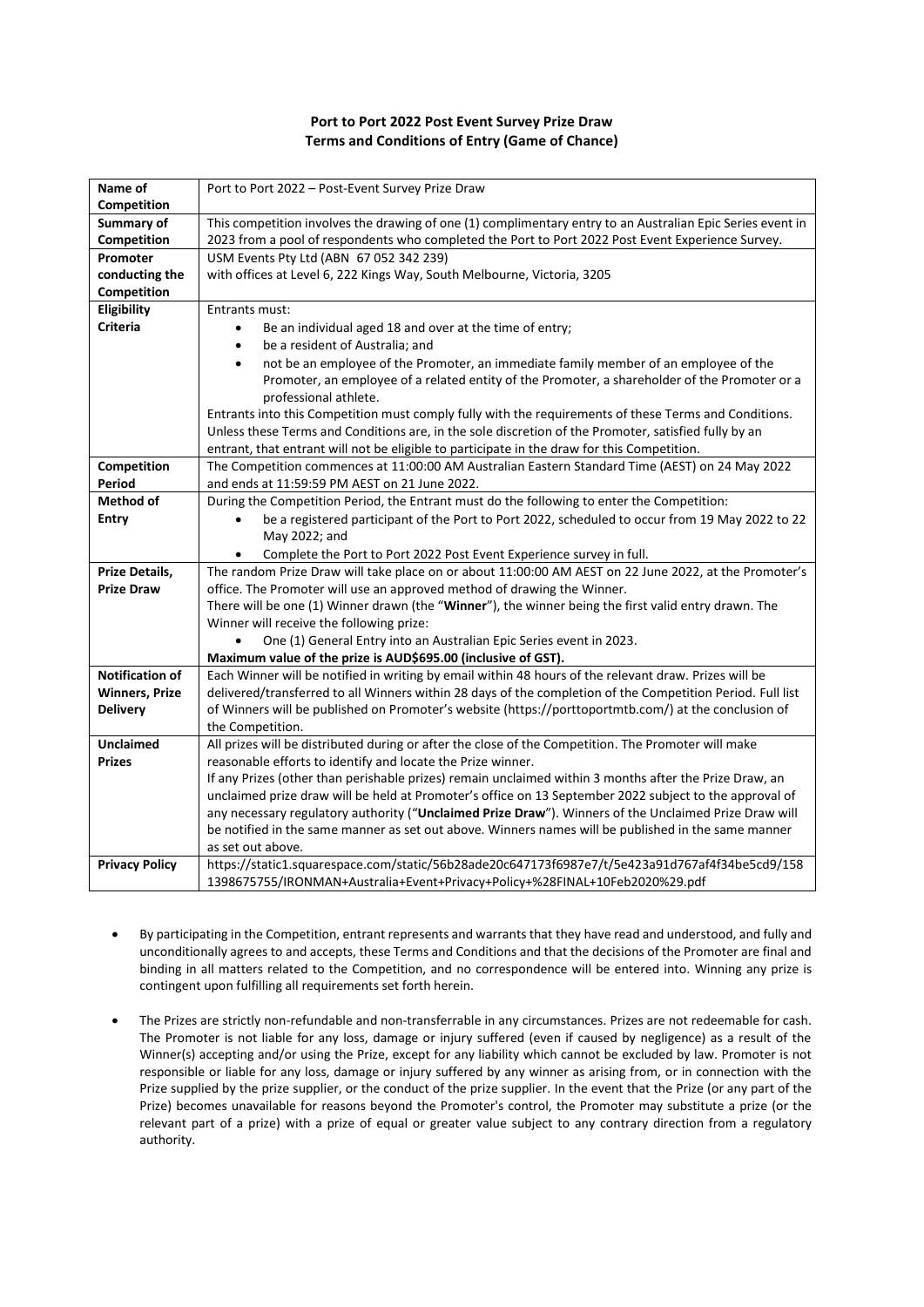## **Port to Port 2022 Post Event Survey Prize Draw Terms and Conditions of Entry (Game of Chance)**

| Name of                | Port to Port 2022 - Post-Event Survey Prize Draw                                                           |
|------------------------|------------------------------------------------------------------------------------------------------------|
| <b>Competition</b>     |                                                                                                            |
| Summary of             | This competition involves the drawing of one (1) complimentary entry to an Australian Epic Series event in |
| Competition            | 2023 from a pool of respondents who completed the Port to Port 2022 Post Event Experience Survey.          |
| Promoter               | USM Events Pty Ltd (ABN 67 052 342 239)                                                                    |
| conducting the         | with offices at Level 6, 222 Kings Way, South Melbourne, Victoria, 3205                                    |
| Competition            |                                                                                                            |
| Eligibility            | Entrants must:                                                                                             |
| <b>Criteria</b>        | Be an individual aged 18 and over at the time of entry;<br>$\bullet$                                       |
|                        | be a resident of Australia; and<br>$\bullet$                                                               |
|                        | not be an employee of the Promoter, an immediate family member of an employee of the<br>$\bullet$          |
|                        | Promoter, an employee of a related entity of the Promoter, a shareholder of the Promoter or a              |
|                        | professional athlete.                                                                                      |
|                        | Entrants into this Competition must comply fully with the requirements of these Terms and Conditions.      |
|                        | Unless these Terms and Conditions are, in the sole discretion of the Promoter, satisfied fully by an       |
|                        | entrant, that entrant will not be eligible to participate in the draw for this Competition.                |
| Competition            | The Competition commences at 11:00:00 AM Australian Eastern Standard Time (AEST) on 24 May 2022            |
| Period                 | and ends at 11:59:59 PM AEST on 21 June 2022.                                                              |
| <b>Method of</b>       | During the Competition Period, the Entrant must do the following to enter the Competition:                 |
| <b>Entry</b>           | be a registered participant of the Port to Port 2022, scheduled to occur from 19 May 2022 to 22            |
|                        | May 2022; and                                                                                              |
|                        | Complete the Port to Port 2022 Post Event Experience survey in full.                                       |
| Prize Details,         | The random Prize Draw will take place on or about 11:00:00 AM AEST on 22 June 2022, at the Promoter's      |
| <b>Prize Draw</b>      | office. The Promoter will use an approved method of drawing the Winner.                                    |
|                        | There will be one (1) Winner drawn (the "Winner"), the winner being the first valid entry drawn. The       |
|                        | Winner will receive the following prize:                                                                   |
|                        | One (1) General Entry into an Australian Epic Series event in 2023.<br>$\bullet$                           |
|                        | Maximum value of the prize is AUD\$695.00 (inclusive of GST).                                              |
| <b>Notification of</b> | Each Winner will be notified in writing by email within 48 hours of the relevant draw. Prizes will be      |
| <b>Winners, Prize</b>  | delivered/transferred to all Winners within 28 days of the completion of the Competition Period. Full list |
| <b>Delivery</b>        | of Winners will be published on Promoter's website (https://porttoportmtb.com/) at the conclusion of       |
|                        | the Competition.                                                                                           |
| <b>Unclaimed</b>       | All prizes will be distributed during or after the close of the Competition. The Promoter will make        |
| <b>Prizes</b>          | reasonable efforts to identify and locate the Prize winner.                                                |
|                        | If any Prizes (other than perishable prizes) remain unclaimed within 3 months after the Prize Draw, an     |
|                        | unclaimed prize draw will be held at Promoter's office on 13 September 2022 subject to the approval of     |
|                        | any necessary regulatory authority ("Unclaimed Prize Draw"). Winners of the Unclaimed Prize Draw will      |
|                        | be notified in the same manner as set out above. Winners names will be published in the same manner        |
|                        | as set out above.                                                                                          |
| <b>Privacy Policy</b>  | https://static1.squarespace.com/static/56b28ade20c647173f6987e7/t/5e423a91d767af4f34be5cd9/158             |
|                        | 1398675755/IRONMAN+Australia+Event+Privacy+Policy+%28FINAL+10Feb2020%29.pdf                                |

- By participating in the Competition, entrant represents and warrants that they have read and understood, and fully and unconditionally agrees to and accepts, these Terms and Conditions and that the decisions of the Promoter are final and binding in all matters related to the Competition, and no correspondence will be entered into. Winning any prize is contingent upon fulfilling all requirements set forth herein.
- The Prizes are strictly non-refundable and non-transferrable in any circumstances. Prizes are not redeemable for cash. The Promoter is not liable for any loss, damage or injury suffered (even if caused by negligence) as a result of the Winner(s) accepting and/or using the Prize, except for any liability which cannot be excluded by law. Promoter is not responsible or liable for any loss, damage or injury suffered by any winner as arising from, or in connection with the Prize supplied by the prize supplier, or the conduct of the prize supplier. In the event that the Prize (or any part of the Prize) becomes unavailable for reasons beyond the Promoter's control, the Promoter may substitute a prize (or the relevant part of a prize) with a prize of equal or greater value subject to any contrary direction from a regulatory authority.